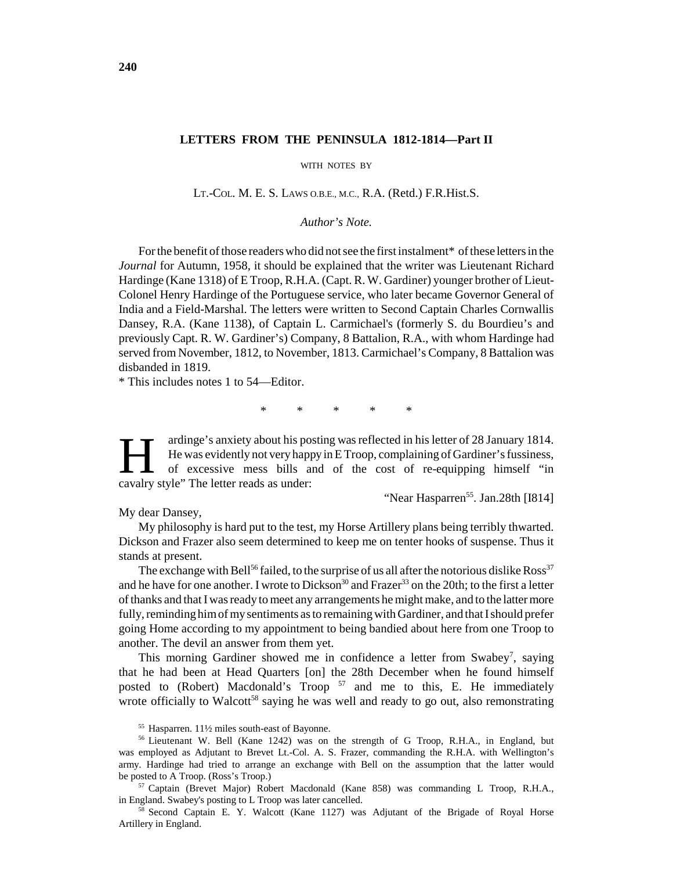## **LETTERS FROM THE PENINSULA 1812-1814—Part II**

WITH NOTES BY

LT.-COL. M. E. S. LAWS O.B.E., M.C., R.A. (Retd.) F.R.Hist.S.

*Author's Note.*

For the benefit of those readers who did not see the first instalment\* of these letters in the *Journal* for Autumn, 1958, it should be explained that the writer was Lieutenant Richard Hardinge (Kane 1318) of E Troop, R.H.A. (Capt. R. W. Gardiner) younger brother of Lieut-Colonel Henry Hardinge of the Portuguese service, who later became Governor General of India and a Field-Marshal. The letters were written to Second Captain Charles Cornwallis Dansey, R.A. (Kane 1138), of Captain L. Carmichael's (formerly S. du Bourdieu's and previously Capt. R. W. Gardiner's) Company, 8 Battalion, R.A., with whom Hardinge had served from November, 1812, to November, 1813. Carmichael's Company, 8 Battalion was disbanded in 1819.

\* This includes notes 1 to 54—Editor.

\* \* \* \* \*

ardinge's anxiety about his posting was reflected in his letter of 28 January 1814.<br>He was evidently not very happy in E Troop, complaining of Gardiner's fussiness,<br>of excessive mess bills and of the cost of re-equipping h He was evidently not very happy in E Troop, complaining of Gardiner's fussiness, cavalry style" The letter reads as under:

"Near Hasparren<sup>55</sup>. Jan.28th [I814]

My dear Dansey,

My philosophy is hard put to the test, my Horse Artillery plans being terribly thwarted. Dickson and Frazer also seem determined to keep me on tenter hooks of suspense. Thus it stands at present.

The exchange with Bell<sup>56</sup> failed, to the surprise of us all after the notorious dislike  $Ross<sup>37</sup>$ and he have for one another. I wrote to Dickson<sup>30</sup> and Frazer<sup>33</sup> on the 20th; to the first a letter of thanks and that I was ready to meet any arrangements he might make, and to the latter more fully, reminding him of my sentiments as to remaining with Gardiner, and that I should prefer going Home according to my appointment to being bandied about here from one Troop to another. The devil an answer from them yet.

This morning Gardiner showed me in confidence a letter from Swabey<sup>7</sup>, saying that he had been at Head Quarters [on] the 28th December when he found himself posted to (Robert) Macdonald's Troop  $57$  and me to this, E. He immediately wrote officially to Walcott<sup>58</sup> saying he was well and ready to go out, also remonstrating

<sup>55</sup> Hasparren. 11½ miles south-east of Bayonne.

<sup>56</sup> Lieutenant W. Bell (Kane 1242) was on the strength of G Troop, R.H.A., in England, but was employed as Adjutant to Brevet Lt.-Col. A. S. Frazer, commanding the R.H.A. with Wellington's army. Hardinge had tried to arrange an exchange with Bell on the assumption that the latter would be posted to A Troop. (Ross's Troop.)

<sup>57</sup> Captain (Brevet Major) Robert Macdonald (Kane 858) was commanding L Troop, R.H.A., in England. Swabey's posting to L Troop was later cancelled.

<sup>58</sup> Second Captain E. Y. Walcott (Kane 1127) was Adjutant of the Brigade of Royal Horse Artillery in England.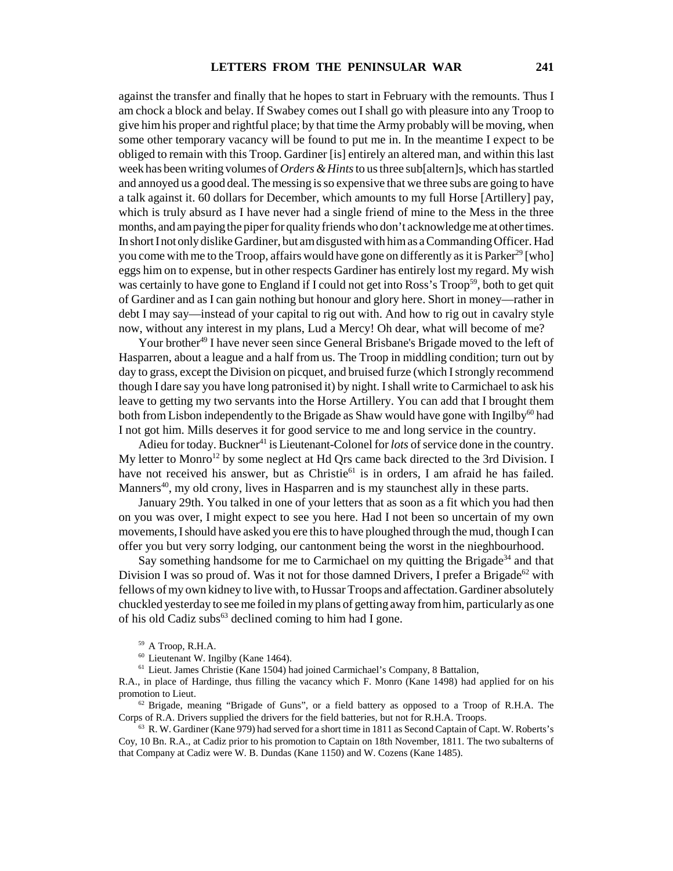against the transfer and finally that he hopes to start in February with the remounts. Thus I am chock a block and belay. If Swabey comes out I shall go with pleasure into any Troop to give him his proper and rightful place; by that time the Army probably will be moving, when some other temporary vacancy will be found to put me in. In the meantime I expect to be obliged to remain with this Troop. Gardiner [is] entirely an altered man, and within this last week has been writing volumes of *Orders & Hints* to us three sub[altern]s, which has startled and annoyed us a good deal. The messing is so expensive that we three subs are going to have a talk against it. 60 dollars for December, which amounts to my full Horse [Artillery] pay, which is truly absurd as I have never had a single friend of mine to the Mess in the three months, and am paying the piper for quality friends who don't acknowledge me at other times. In short I not only dislike Gardiner, but am disgusted with him as a Commanding Officer. Had you come with me to the Troop, affairs would have gone on differently as it is Parker<sup>29</sup> [who] eggs him on to expense, but in other respects Gardiner has entirely lost my regard. My wish was certainly to have gone to England if I could not get into Ross's Troop<sup>59</sup>, both to get quit of Gardiner and as I can gain nothing but honour and glory here. Short in money—rather in debt I may say—instead of your capital to rig out with. And how to rig out in cavalry style now, without any interest in my plans, Lud a Mercy! Oh dear, what will become of me?

Your brother<sup>49</sup> I have never seen since General Brisbane's Brigade moved to the left of Hasparren, about a league and a half from us. The Troop in middling condition; turn out by day to grass, except the Division on picquet, and bruised furze (which I strongly recommend though I dare say you have long patronised it) by night. I shall write to Carmichael to ask his leave to getting my two servants into the Horse Artillery. You can add that I brought them both from Lisbon independently to the Brigade as Shaw would have gone with Ingilby<sup>60</sup> had I not got him. Mills deserves it for good service to me and long service in the country.

Adieu for today. Buckner<sup>41</sup> is Lieutenant-Colonel for *lots* of service done in the country. My letter to Monro<sup>12</sup> by some neglect at Hd Qrs came back directed to the 3rd Division. I have not received his answer, but as Christie<sup>61</sup> is in orders, I am afraid he has failed. Manners<sup>40</sup>, my old crony, lives in Hasparren and is my staunchest ally in these parts.

January 29th. You talked in one of your letters that as soon as a fit which you had then on you was over, I might expect to see you here. Had I not been so uncertain of my own movements, I should have asked you ere this to have ploughed through the mud, though I can offer you but very sorry lodging, our cantonment being the worst in the nieghbourhood.

Say something handsome for me to Carmichael on my quitting the Brigade<sup>34</sup> and that Division I was so proud of. Was it not for those damned Drivers, I prefer a Brigade<sup>62</sup> with fellows of my own kidney to live with, to Hussar Troops and affectation. Gardiner absolutely chuckled yesterday to see me foiled in my plans of getting away from him, particularly as one of his old Cadiz subs $^{63}$  declined coming to him had I gone.

<sup>61</sup> Lieut. James Christie (Kane 1504) had joined Carmichael's Company, 8 Battalion,

R.A., in place of Hardinge, thus filling the vacancy which F. Monro (Kane 1498) had applied for on his promotion to Lieut.

 $62$  Brigade, meaning "Brigade of Guns", or a field battery as opposed to a Troop of R.H.A. The Corps of R.A. Drivers supplied the drivers for the field batteries, but not for R.H.A. Troops.

 $63$  R. W. Gardiner (Kane 979) had served for a short time in 1811 as Second Captain of Capt. W. Roberts's Coy, 10 Bn. R.A., at Cadiz prior to his promotion to Captain on 18th November, 1811. The two subalterns of that Company at Cadiz were W. B. Dundas (Kane 1150) and W. Cozens (Kane 1485).

<sup>59</sup> A Troop, R.H.A.

<sup>60</sup> Lieutenant W. Ingilby (Kane 1464).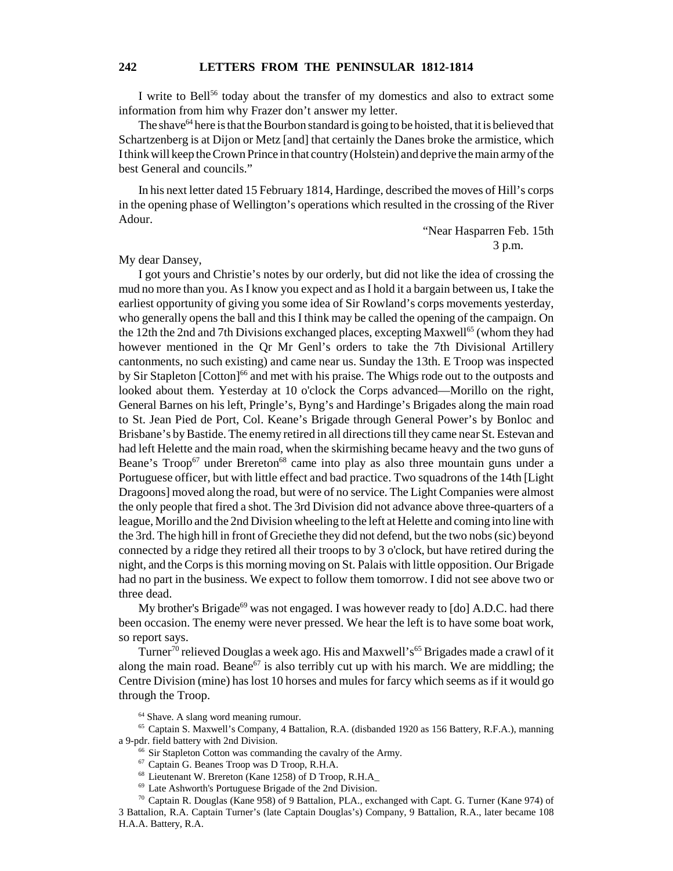I write to Bell<sup>56</sup> today about the transfer of my domestics and also to extract some information from him why Frazer don't answer my letter.

The shave  $64$  here is that the Bourbon standard is going to be hoisted, that it is believed that Schartzenberg is at Dijon or Metz [and] that certainly the Danes broke the armistice, which I think will keep the Crown Prince in that country (Holstein) and deprive the main army of the best General and councils."

In his next letter dated 15 February 1814, Hardinge, described the moves of Hill's corps in the opening phase of Wellington's operations which resulted in the crossing of the River Adour.

"Near Hasparren Feb. 15th 3 p.m.

My dear Dansey,

I got yours and Christie's notes by our orderly, but did not like the idea of crossing the mud no more than you. As I know you expect and as I hold it a bargain between us, I take the earliest opportunity of giving you some idea of Sir Rowland's corps movements yesterday, who generally opens the ball and this I think may be called the opening of the campaign. On the 12th the 2nd and 7th Divisions exchanged places, excepting Maxwell<sup>65</sup> (whom they had however mentioned in the Qr Mr Genl's orders to take the 7th Divisional Artillery cantonments, no such existing) and came near us. Sunday the 13th. E Troop was inspected by Sir Stapleton [Cotton]<sup>66</sup> and met with his praise. The Whigs rode out to the outposts and looked about them. Yesterday at 10 o'clock the Corps advanced—Morillo on the right, General Barnes on his left, Pringle's, Byng's and Hardinge's Brigades along the main road to St. Jean Pied de Port, Col. Keane's Brigade through General Power's by Bonloc and Brisbane's by Bastide. The enemy retired in all directions till they came near St. Estevan and had left Helette and the main road, when the skirmishing became heavy and the two guns of Beane's  $Troop<sup>67</sup>$  under Brereton<sup>68</sup> came into play as also three mountain guns under a Portuguese officer, but with little effect and bad practice. Two squadrons of the 14th [Light Dragoons] moved along the road, but were of no service. The Light Companies were almost the only people that fired a shot. The 3rd Division did not advance above three-quarters of a league, Morillo and the 2nd Division wheeling to the left at Helette and coming into line with the 3rd. The high hill in front of Greciethe they did not defend, but the two nobs (sic) beyond connected by a ridge they retired all their troops to by 3 o'clock, but have retired during the night, and the Corps is this morning moving on St. Palais with little opposition. Our Brigade had no part in the business. We expect to follow them tomorrow. I did not see above two or three dead.

My brother's Brigade<sup>69</sup> was not engaged. I was however ready to  $\lceil d \circ \rceil$  A.D.C. had there been occasion. The enemy were never pressed. We hear the left is to have some boat work, so report says.

Turner<sup>70</sup> relieved Douglas a week ago. His and Maxwell's<sup>65</sup> Brigades made a crawl of it along the main road. Beane<sup>67</sup> is also terribly cut up with his march. We are middling; the Centre Division (mine) has lost 10 horses and mules for farcy which seems as if it would go through the Troop.

<sup>64</sup> Shave. A slang word meaning rumour.

<sup>65</sup> Captain S. Maxwell's Company, 4 Battalion, R.A. (disbanded 1920 as 156 Battery, R.F.A.), manning a 9-pdr. field battery with 2nd Division.

<sup>66</sup> Sir Stapleton Cotton was commanding the cavalry of the Army.

<sup>67</sup> Captain G. Beanes Troop was D Troop, R.H.A.

<sup>68</sup> Lieutenant W. Brereton (Kane 1258) of D Troop, R.H.A\_

<sup>69</sup> Late Ashworth's Portuguese Brigade of the 2nd Division.

 $70$  Captain R. Douglas (Kane 958) of 9 Battalion, PLA., exchanged with Capt. G. Turner (Kane 974) of 3 Battalion, R.A. Captain Turner's (late Captain Douglas's) Company, 9 Battalion, R.A., later became 108 H.A.A. Battery, R.A.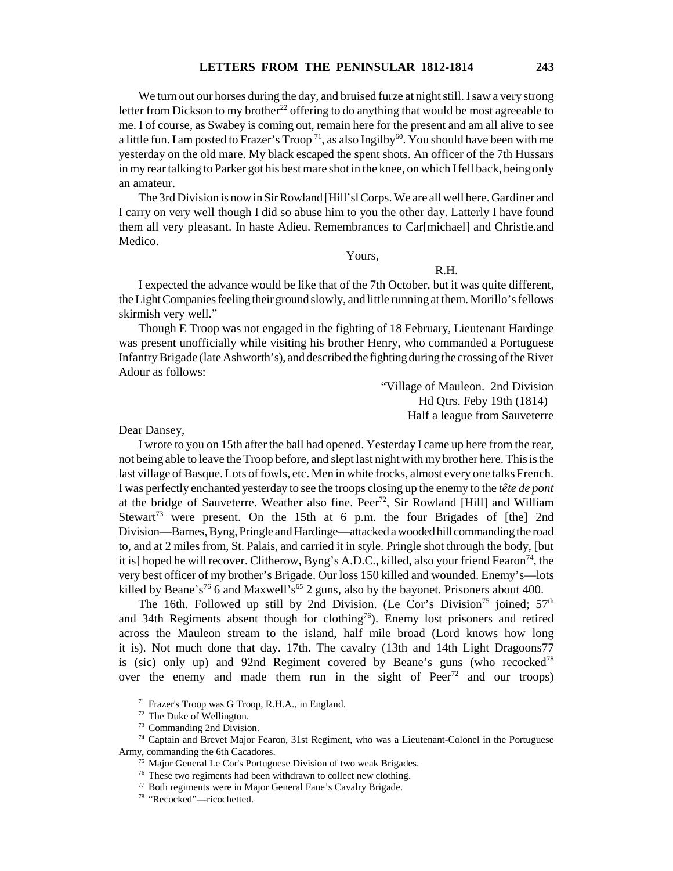We turn out our horses during the day, and bruised furze at night still. I saw a very strong letter from Dickson to my brother<sup>22</sup> offering to do anything that would be most agreeable to me. I of course, as Swabey is coming out, remain here for the present and am all alive to see a little fun. I am posted to Frazer's Troop<sup>71</sup>, as also Ingilby<sup>60</sup>. You should have been with me yesterday on the old mare. My black escaped the spent shots. An officer of the 7th Hussars in my rear talking to Parker got his best mare shot in the knee, on which I fell back, being only an amateur.

The 3rd Division is now in Sir Rowland [Hill'sl Corps. We are all well here. Gardiner and I carry on very well though I did so abuse him to you the other day. Latterly I have found them all very pleasant. In haste Adieu. Remembrances to Car[michael] and Christie.and Medico.

Yours,

## R.H.

I expected the advance would be like that of the 7th October, but it was quite different, the Light Companies feeling their ground slowly, and little running at them. Morillo's fellows skirmish very well."

Though E Troop was not engaged in the fighting of 18 February, Lieutenant Hardinge was present unofficially while visiting his brother Henry, who commanded a Portuguese Infantry Brigade (late Ashworth's), and described the fighting during the crossing of the River Adour as follows:

> "Village of Mauleon. 2nd Division Hd Qtrs. Feby 19th (1814) Half a league from Sauveterre

Dear Dansey,

I wrote to you on 15th after the ball had opened. Yesterday I came up here from the rear, not being able to leave the Troop before, and slept last night with my brother here. This is the last village of Basque. Lots of fowls, etc. Men in white frocks, almost every one talks French. I was perfectly enchanted yesterday to see the troops closing up the enemy to the *tête de pont* at the bridge of Sauveterre. Weather also fine. Peer<sup>72</sup>, Sir Rowland [Hill] and William Stewart<sup>73</sup> were present. On the 15th at 6 p.m. the four Brigades of [the] 2nd Division—Barnes, Byng, Pringle and Hardinge—attacked a wooded hill commanding the road to, and at 2 miles from, St. Palais, and carried it in style. Pringle shot through the body, [but it is] hoped he will recover. Clitherow, Byng's A.D.C., killed, also your friend Fearon<sup>74</sup>, the very best officer of my brother's Brigade. Our loss 150 killed and wounded. Enemy's—lots killed by Beane's<sup>76</sup> 6 and Maxwell's<sup>65</sup> 2 guns, also by the bayonet. Prisoners about 400.

The 16th. Followed up still by 2nd Division. (Le Cor's Division<sup>75</sup> joined;  $57<sup>th</sup>$ and 34th Regiments absent though for clothing<sup>76</sup>). Enemy lost prisoners and retired across the Mauleon stream to the island, half mile broad (Lord knows how long it is). Not much done that day. 17th. The cavalry (13th and 14th Light Dragoons77 is (sic) only up) and 92nd Regiment covered by Beane's guns (who recocked<sup>78</sup> over the enemy and made them run in the sight of  $Peer<sup>72</sup>$  and our troops)

<sup>71</sup> Frazer's Troop was G Troop, R.H.A., in England.

 $72$  The Duke of Wellington.

<sup>73</sup> Commanding 2nd Division.

<sup>74</sup> Captain and Brevet Major Fearon, 31st Regiment, who was a Lieutenant-Colonel in the Portuguese Army, commanding the 6th Cacadores.

 $75$  Major General Le Cor's Portuguese Division of two weak Brigades.

<sup>&</sup>lt;sup>76</sup> These two regiments had been withdrawn to collect new clothing.

<sup>77</sup> Both regiments were in Major General Fane's Cavalry Brigade.

<sup>78</sup> "Recocked"—ricochetted.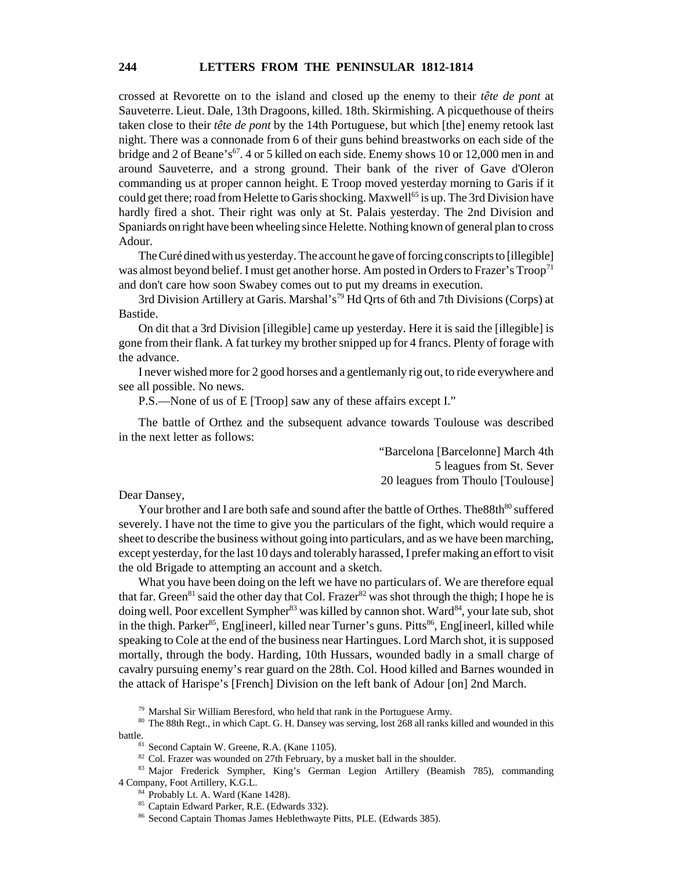crossed at Revorette on to the island and closed up the enemy to their *tête de pont* at Sauveterre. Lieut. Dale, 13th Dragoons, killed. 18th. Skirmishing. A picquethouse of theirs taken close to their *tête de pont* by the 14th Portuguese, but which [the] enemy retook last night. There was a connonade from 6 of their guns behind breastworks on each side of the bridge and 2 of Beane's<sup>67</sup>. 4 or 5 killed on each side. Enemy shows 10 or 12,000 men in and around Sauveterre, and a strong ground. Their bank of the river of Gave d'Oleron commanding us at proper cannon height. E Troop moved yesterday morning to Garis if it could get there; road from Helette to Garis shocking. Maxwell<sup>65</sup> is up. The 3rd Division have hardly fired a shot. Their right was only at St. Palais yesterday. The 2nd Division and Spaniards on right have been wheeling since Helette. Nothing known of general plan to cross Adour.

The Curé dined with us yesterday. The account he gave of forcing conscripts to [illegible] was almost beyond belief. I must get another horse. Am posted in Orders to Frazer's Troop<sup>71</sup> and don't care how soon Swabey comes out to put my dreams in execution.

3rd Division Artillery at Garis. Marshal's<sup>79</sup> Hd Qrts of 6th and 7th Divisions (Corps) at Bastide.

On dit that a 3rd Division [illegible] came up yesterday. Here it is said the [illegible] is gone from their flank. A fat turkey my brother snipped up for 4 francs. Plenty of forage with the advance.

I never wished more for 2 good horses and a gentlemanly rig out, to ride everywhere and see all possible. No news.

P.S.—None of us of E [Troop] saw any of these affairs except I."

The battle of Orthez and the subsequent advance towards Toulouse was described in the next letter as follows:

> "Barcelona [Barcelonne] March 4th 5 leagues from St. Sever 20 leagues from Thoulo [Toulouse]

Dear Dansey,

Your brother and I are both safe and sound after the battle of Orthes. The 88th<sup>80</sup> suffered severely. I have not the time to give you the particulars of the fight, which would require a sheet to describe the business without going into particulars, and as we have been marching, except yesterday, for the last 10 days and tolerably harassed, I prefer making an effort to visit the old Brigade to attempting an account and a sketch.

What you have been doing on the left we have no particulars of. We are therefore equal that far. Green<sup>81</sup> said the other day that Col. Frazer<sup>82</sup> was shot through the thigh; I hope he is doing well. Poor excellent Sympher<sup>83</sup> was killed by cannon shot. Ward<sup>84</sup>, your late sub, shot in the thigh. Parker<sup>85</sup>, Eng[ineerl, killed near Turner's guns. Pitts<sup>86</sup>, Eng[ineerl, killed while speaking to Cole at the end of the business near Hartingues. Lord March shot, it is supposed mortally, through the body. Harding, 10th Hussars, wounded badly in a small charge of cavalry pursuing enemy's rear guard on the 28th. Col. Hood killed and Barnes wounded in the attack of Harispe's [French] Division on the left bank of Adour [on] 2nd March.

 $79$  Marshal Sir William Beresford, who held that rank in the Portuguese Army.

<sup>80</sup> The 88th Regt., in which Capt. G. H. Dansey was serving, lost 268 all ranks killed and wounded in this battle.<br><sup>81</sup> Second Captain W. Greene, R.A. (Kane 1105).

 $82$  Col. Frazer was wounded on 27th February, by a musket ball in the shoulder.

<sup>83</sup> Major Frederick Sympher, King's German Legion Artillery (Beamish 785), commanding 4 Company, Foot Artillery, K.G.L.

<sup>84</sup> Probably Lt. A. Ward (Kane 1428).

<sup>85</sup> Captain Edward Parker, R.E. (Edwards 332).

<sup>86</sup> Second Captain Thomas James Heblethwayte Pitts, PLE. (Edwards 385).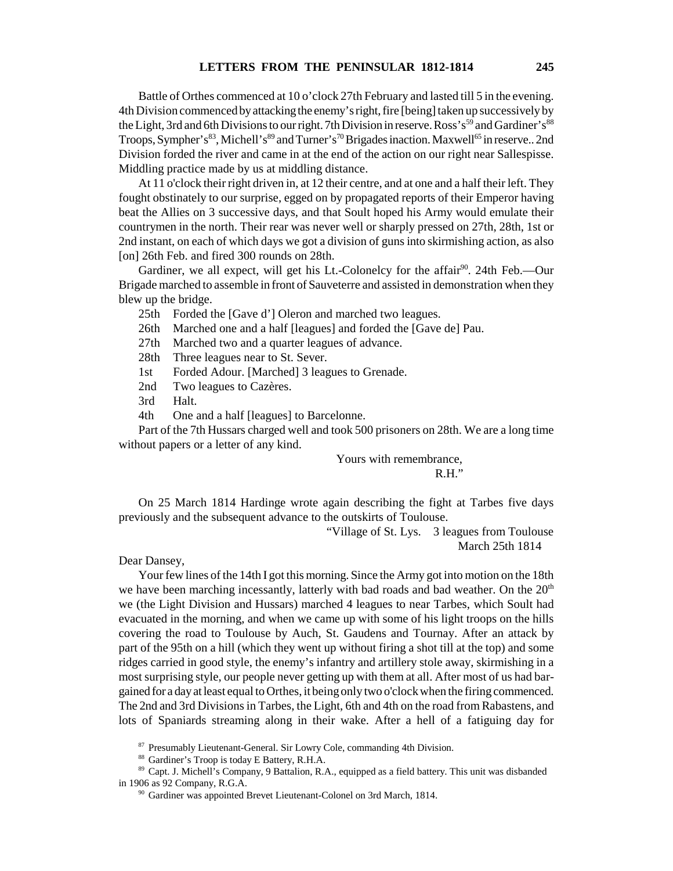Battle of Orthes commenced at 10 o'clock 27th February and lasted till 5 in the evening. 4th Division commenced by attacking the enemy's right, fire [being] taken up successively by the Light, 3rd and 6th Divisions to our right. 7th Division in reserve. Ross's<sup>59</sup> and Gardiner's<sup>88</sup> Troops, Sympher's<sup>83</sup>, Michell's<sup>89</sup> and Turner's<sup>70</sup> Brigades inaction. Maxwell<sup>65</sup> in reserve.. 2nd Division forded the river and came in at the end of the action on our right near Sallespisse. Middling practice made by us at middling distance.

At 11 o'clock their right driven in, at 12 their centre, and at one and a half their left. They fought obstinately to our surprise, egged on by propagated reports of their Emperor having beat the Allies on 3 successive days, and that Soult hoped his Army would emulate their countrymen in the north. Their rear was never well or sharply pressed on 27th, 28th, 1st or 2nd instant, on each of which days we got a division of guns into skirmishing action, as also [on] 26th Feb. and fired 300 rounds on 28th.

Gardiner, we all expect, will get his Lt.-Colonelcy for the affair<sup>90</sup>. 24th Feb.--Our Brigade marched to assemble in front of Sauveterre and assisted in demonstration when they blew up the bridge.

25th Forded the [Gave d'] Oleron and marched two leagues.

26th Marched one and a half [leagues] and forded the [Gave de] Pau.

27th Marched two and a quarter leagues of advance.

28th Three leagues near to St. Sever.

1st Forded Adour. [Marched] 3 leagues to Grenade.

2nd Two leagues to Cazères.

3rd Halt.

4th One and a half [leagues] to Barcelonne.

Part of the 7th Hussars charged well and took 500 prisoners on 28th. We are a long time without papers or a letter of any kind.

> Yours with remembrance, R.H."

On 25 March 1814 Hardinge wrote again describing the fight at Tarbes five days previously and the subsequent advance to the outskirts of Toulouse.

> "Village of St. Lys. 3 leagues from Toulouse March 25th 1814

Dear Dansey,

Your few lines of the 14th I got this morning. Since the Army got into motion on the 18th we have been marching incessantly, latterly with bad roads and bad weather. On the  $20<sup>th</sup>$ we (the Light Division and Hussars) marched 4 leagues to near Tarbes, which Soult had evacuated in the morning, and when we came up with some of his light troops on the hills covering the road to Toulouse by Auch, St. Gaudens and Tournay. After an attack by part of the 95th on a hill (which they went up without firing a shot till at the top) and some ridges carried in good style, the enemy's infantry and artillery stole away, skirmishing in a most surprising style, our people never getting up with them at all. After most of us had bargained for a day at least equal to Orthes, it being only two o'clock when the firing commenced. The 2nd and 3rd Divisions in Tarbes, the Light, 6th and 4th on the road from Rabastens, and lots of Spaniards streaming along in their wake. After a hell of a fatiguing day for

87 Presumably Lieutenant-General. Sir Lowry Cole, commanding 4th Division.

<sup>88</sup> Gardiner's Troop is today E Battery, R.H.A.

<sup>89</sup> Capt. J. Michell's Company, 9 Battalion, R.A., equipped as a field battery. This unit was disbanded in 1906 as 92 Company, R.G.A.

<sup>&</sup>lt;sup>90</sup> Gardiner was appointed Brevet Lieutenant-Colonel on 3rd March, 1814.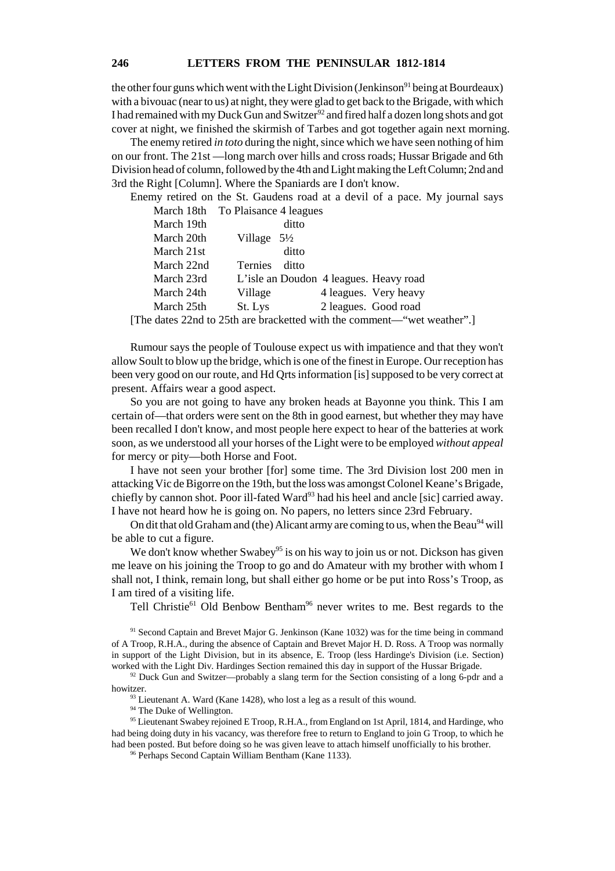## **246 LETTERS FROM THE PENINSULAR 1812-1814**

the other four guns which went with the Light Division (Jenkinson<sup>91</sup> being at Bourdeaux) with a bivouac (near to us) at night, they were glad to get back to the Brigade, with which I had remained with my Duck Gun and Switzer<sup>92</sup> and fired half a dozen long shots and got cover at night, we finished the skirmish of Tarbes and got together again next morning.

The enemy retired *in toto* during the night, since which we have seen nothing of him on our front. The 21st —long march over hills and cross roads; Hussar Brigade and 6th Division head of column, followed by the 4th and Light making the Left Column; 2nd and 3rd the Right [Column]. Where the Spaniards are I don't know.

Enemy retired on the St. Gaudens road at a devil of a pace. My journal says March 18th To Plaisance 4 leagues

|            | $1.1.001$ $0.1.1$ $0.01.1$ $0.1.001$ $0.001$ $0.001$ $0.001$ $0.001$ |  |
|------------|----------------------------------------------------------------------|--|
| March 19th | ditto                                                                |  |
| March 20th | Village $5\frac{1}{2}$                                               |  |
| March 21st | ditto                                                                |  |
| March 22nd | <b>Ternies</b><br>ditto                                              |  |
| March 23rd | L'isle an Doudon 4 leagues. Heavy road                               |  |
| March 24th | 4 leagues. Very heavy<br>Village                                     |  |
| March 25th | 2 leagues. Good road<br>St. Lys                                      |  |
|            |                                                                      |  |

[The dates 22nd to 25th are bracketted with the comment—"wet weather".]

Rumour says the people of Toulouse expect us with impatience and that they won't allow Soult to blow up the bridge, which is one of the finest in Europe. Our reception has been very good on our route, and Hd Qrts information [is] supposed to be very correct at present. Affairs wear a good aspect.

So you are not going to have any broken heads at Bayonne you think. This I am certain of—that orders were sent on the 8th in good earnest, but whether they may have been recalled I don't know, and most people here expect to hear of the batteries at work soon, as we understood all your horses of the Light were to be employed *without appeal* for mercy or pity—both Horse and Foot.

I have not seen your brother [for] some time. The 3rd Division lost 200 men in attacking Vic de Bigorre on the 19th, but the loss was amongst Colonel Keane's Brigade, chiefly by cannon shot. Poor ill-fated Ward<sup>93</sup> had his heel and ancle [sic] carried away. I have not heard how he is going on. No papers, no letters since 23rd February.

On dit that old Graham and (the) Alicant army are coming to us, when the Beau<sup>94</sup> will be able to cut a figure.

We don't know whether Swabey<sup>95</sup> is on his way to join us or not. Dickson has given me leave on his joining the Troop to go and do Amateur with my brother with whom I shall not, I think, remain long, but shall either go home or be put into Ross's Troop, as I am tired of a visiting life.

Tell Christie<sup>61</sup> Old Benbow Bentham<sup>96</sup> never writes to me. Best regards to the

<sup>91</sup> Second Captain and Brevet Major G. Jenkinson (Kane 1032) was for the time being in command of A Troop, R.H.A., during the absence of Captain and Brevet Major H. D. Ross. A Troop was normally in support of the Light Division, but in its absence, E. Troop (less Hardinge's Division (i.e. Section) worked with the Light Div. Hardinges Section remained this day in support of the Hussar Brigade.

 $92$  Duck Gun and Switzer—probably a slang term for the Section consisting of a long 6-pdr and a howitzer.

 $93$  Lieutenant A. Ward (Kane 1428), who lost a leg as a result of this wound.

<sup>94</sup> The Duke of Wellington.

<sup>95</sup> Lieutenant Swabey rejoined E Troop, R.H.A., from England on 1st April, 1814, and Hardinge, who had being doing duty in his vacancy, was therefore free to return to England to join G Troop, to which he had been posted. But before doing so he was given leave to attach himself unofficially to his brother.

<sup>96</sup> Perhaps Second Captain William Bentham (Kane 1133).